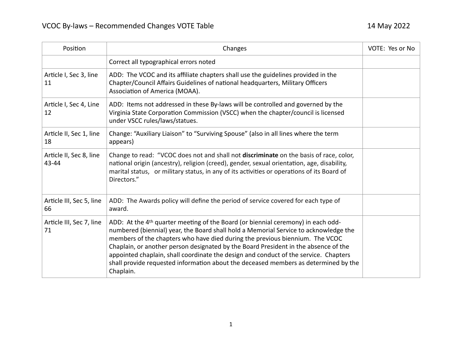| Position                         | Changes                                                                                                                                                                                                                                                                                                                                                                                                                                                                                                                                                 | VOTE: Yes or No |
|----------------------------------|---------------------------------------------------------------------------------------------------------------------------------------------------------------------------------------------------------------------------------------------------------------------------------------------------------------------------------------------------------------------------------------------------------------------------------------------------------------------------------------------------------------------------------------------------------|-----------------|
|                                  | Correct all typographical errors noted                                                                                                                                                                                                                                                                                                                                                                                                                                                                                                                  |                 |
| Article I, Sec 3, line<br>11     | ADD: The VCOC and its affiliate chapters shall use the guidelines provided in the<br>Chapter/Council Affairs Guidelines of national headquarters, Military Officers<br>Association of America (MOAA).                                                                                                                                                                                                                                                                                                                                                   |                 |
| Article I, Sec 4, Line<br>12     | ADD: Items not addressed in these By-laws will be controlled and governed by the<br>Virginia State Corporation Commission (VSCC) when the chapter/council is licensed<br>under VSCC rules/laws/statues.                                                                                                                                                                                                                                                                                                                                                 |                 |
| Article II, Sec 1, line<br>18    | Change: "Auxiliary Liaison" to "Surviving Spouse" (also in all lines where the term<br>appears)                                                                                                                                                                                                                                                                                                                                                                                                                                                         |                 |
| Article II, Sec 8, line<br>43-44 | Change to read: "VCOC does not and shall not discriminate on the basis of race, color,<br>national origin (ancestry), religion (creed), gender, sexual orientation, age, disability,<br>marital status, or military status, in any of its activities or operations of its Board of<br>Directors."                                                                                                                                                                                                                                                       |                 |
| Article III, Sec 5, line<br>66   | ADD: The Awards policy will define the period of service covered for each type of<br>award.                                                                                                                                                                                                                                                                                                                                                                                                                                                             |                 |
| Article III, Sec 7, line<br>71   | ADD: At the 4 <sup>th</sup> quarter meeting of the Board (or biennial ceremony) in each odd-<br>numbered (biennial) year, the Board shall hold a Memorial Service to acknowledge the<br>members of the chapters who have died during the previous biennium. The VCOC<br>Chaplain, or another person designated by the Board President in the absence of the<br>appointed chaplain, shall coordinate the design and conduct of the service. Chapters<br>shall provide requested information about the deceased members as determined by the<br>Chaplain. |                 |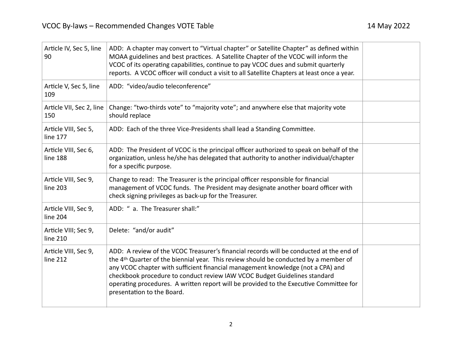| Article IV, Sec 5, line<br>90    | ADD: A chapter may convert to "Virtual chapter" or Satellite Chapter" as defined within<br>MOAA guidelines and best practices. A Satellite Chapter of the VCOC will inform the<br>VCOC of its operating capabilities, continue to pay VCOC dues and submit quarterly<br>reports. A VCOC officer will conduct a visit to all Satellite Chapters at least once a year.                                                                                                    |  |
|----------------------------------|-------------------------------------------------------------------------------------------------------------------------------------------------------------------------------------------------------------------------------------------------------------------------------------------------------------------------------------------------------------------------------------------------------------------------------------------------------------------------|--|
| Article V, Sec 5, line<br>109    | ADD: "video/audio teleconference"                                                                                                                                                                                                                                                                                                                                                                                                                                       |  |
| Article VII, Sec 2, line<br>150  | Change: "two-thirds vote" to "majority vote"; and anywhere else that majority vote<br>should replace                                                                                                                                                                                                                                                                                                                                                                    |  |
| Article VIII, Sec 5,<br>line 177 | ADD: Each of the three Vice-Presidents shall lead a Standing Committee.                                                                                                                                                                                                                                                                                                                                                                                                 |  |
| Article VIII, Sec 6,<br>line 188 | ADD: The President of VCOC is the principal officer authorized to speak on behalf of the<br>organization, unless he/she has delegated that authority to another individual/chapter<br>for a specific purpose.                                                                                                                                                                                                                                                           |  |
| Article VIII, Sec 9,<br>line 203 | Change to read: The Treasurer is the principal officer responsible for financial<br>management of VCOC funds. The President may designate another board officer with<br>check signing privileges as back-up for the Treasurer.                                                                                                                                                                                                                                          |  |
| Article VIII, Sec 9,<br>line 204 | ADD: " a. The Treasurer shall:"                                                                                                                                                                                                                                                                                                                                                                                                                                         |  |
| Article VIII; Sec 9,<br>line 210 | Delete: "and/or audit"                                                                                                                                                                                                                                                                                                                                                                                                                                                  |  |
| Article VIII, Sec 9,<br>line 212 | ADD: A review of the VCOC Treasurer's financial records will be conducted at the end of<br>the 4th Quarter of the biennial year. This review should be conducted by a member of<br>any VCOC chapter with sufficient financial management knowledge (not a CPA) and<br>checkbook procedure to conduct review IAW VCOC Budget Guidelines standard<br>operating procedures. A written report will be provided to the Executive Committee for<br>presentation to the Board. |  |